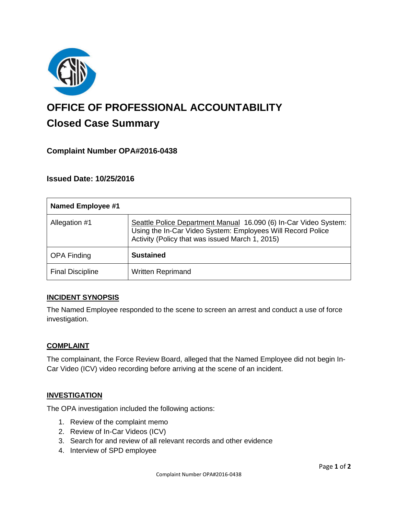

# **OFFICE OF PROFESSIONAL ACCOUNTABILITY Closed Case Summary**

## **Complaint Number OPA#2016-0438**

## **Issued Date: 10/25/2016**

| <b>Named Employee #1</b> |                                                                                                                                                                                    |
|--------------------------|------------------------------------------------------------------------------------------------------------------------------------------------------------------------------------|
| Allegation #1            | Seattle Police Department Manual 16.090 (6) In-Car Video System:<br>Using the In-Car Video System: Employees Will Record Police<br>Activity (Policy that was issued March 1, 2015) |
| <b>OPA Finding</b>       | <b>Sustained</b>                                                                                                                                                                   |
| <b>Final Discipline</b>  | <b>Written Reprimand</b>                                                                                                                                                           |

### **INCIDENT SYNOPSIS**

The Named Employee responded to the scene to screen an arrest and conduct a use of force investigation.

### **COMPLAINT**

The complainant, the Force Review Board, alleged that the Named Employee did not begin In-Car Video (ICV) video recording before arriving at the scene of an incident.

#### **INVESTIGATION**

The OPA investigation included the following actions:

- 1. Review of the complaint memo
- 2. Review of In-Car Videos (ICV)
- 3. Search for and review of all relevant records and other evidence
- 4. Interview of SPD employee